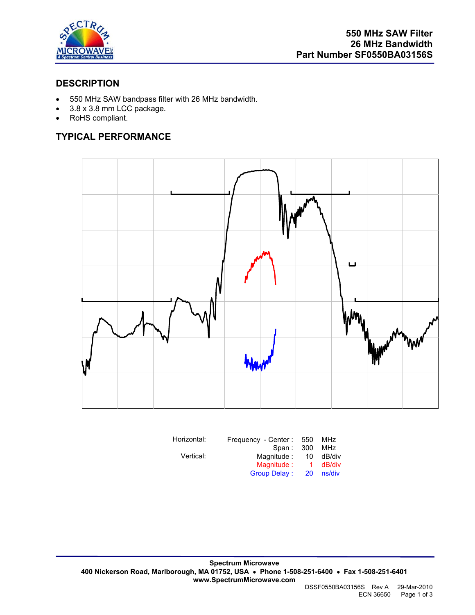

### **DESCRIPTION**

- 550 MHz SAW bandpass filter with 26 MHz bandwidth.
- 3.8 x 3.8 mm LCC package.
- RoHS compliant.

## **TYPICAL PERFORMANCE**



| Horizontal: | Frequency - Center: | 550 | MHz    |
|-------------|---------------------|-----|--------|
|             | Span: 300           |     | MHz    |
| Vertical:   | Magnitude:          | 10  | dB/div |
|             | Magnitude:          | 1.  | dB/div |
|             | <b>Group Delay:</b> | 20  | ns/div |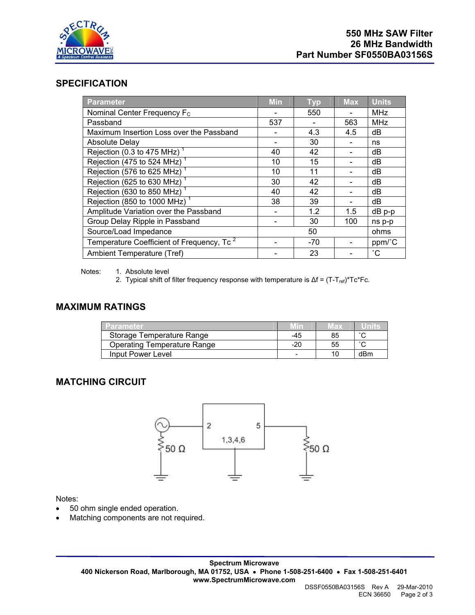

#### **SPECIFICATION**

| Parameter                                             | <b>Min</b> | <b>Typ</b> | <b>Max</b> | <b>Units</b>    |
|-------------------------------------------------------|------------|------------|------------|-----------------|
| Nominal Center Frequency F <sub>c</sub>               |            | 550        |            | <b>MHz</b>      |
| Passband                                              | 537        |            | 563        | <b>MHz</b>      |
| Maximum Insertion Loss over the Passband              |            | 4.3        | 4.5        | dB              |
| <b>Absolute Delay</b>                                 |            | 30         |            | ns              |
| Rejection (0.3 to 475 MHz) <sup>1</sup>               | 40         | 42         |            | dB              |
| Rejection (475 to 524 MHz)                            | 10         | 15         |            | dB              |
| Rejection (576 to 625 MHz)                            | 10         | 11         |            | dB              |
| Rejection (625 to 630 MHz)                            | 30         | 42         |            | dB              |
| Rejection (630 to 850 MHz)                            | 40         | 42         |            | dB              |
| Rejection (850 to 1000 MHz) <sup>1</sup>              | 38         | 39         |            | dB              |
| Amplitude Variation over the Passband                 |            | 1.2        | 1.5        | $dB$ p-p        |
| Group Delay Ripple in Passband                        |            | 30         | 100        | ns p-p          |
| Source/Load Impedance                                 |            | 50         |            | ohms            |
| Temperature Coefficient of Frequency, Tc <sup>2</sup> |            | $-70$      |            | ppm/°C          |
| Ambient Temperature (Tref)                            |            | 23         |            | $\rm ^{\circ}C$ |

Notes: 1. Absolute level

2. Typical shift of filter frequency response with temperature is  $\Delta f = (T - T_{ref})^*Tc^*Fc$ .

### **MAXIMUM RATINGS**

| ∠Parameter∡                        |     | wax | units  |
|------------------------------------|-----|-----|--------|
| Storage Temperature Range          | -45 | 85  | $\sim$ |
| <b>Operating Temperature Range</b> | -20 | 55  | $\sim$ |
| Input Power Level                  |     |     | dBm    |

### **MATCHING CIRCUIT**



Notes:

- 50 ohm single ended operation.
- Matching components are not required.